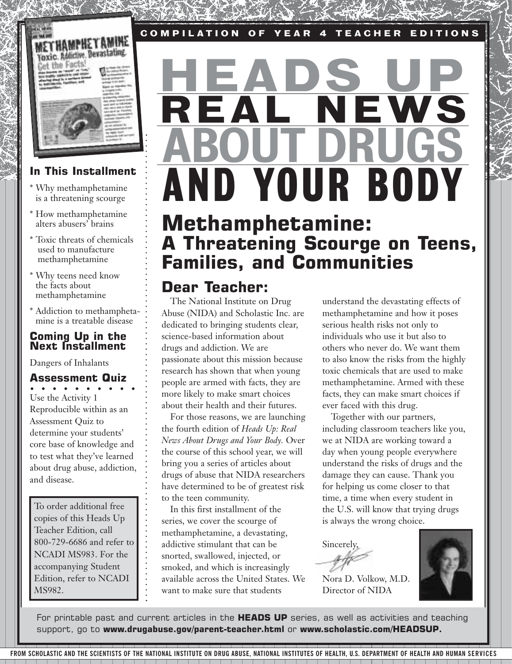

# **MPHETA I MAINT THE PERSONAL PROPERTY** the Facts

# **In This Installment**

- \* Why methamphetamine is a threatening scourge
- \* How methamphetamine alters abusers' brains
- Toxic threats of chemicals used to manufacture methamphetamine
- \* Why teens need know the facts about methamphetamine
- \* Addiction to methamphetamine is a treatable disease

# **Coming Up in the Next Installment**

Dangers of Inhalants

# **Assessment Quiz**

Use the Activity 1 Reproducible within as an Assessment Quiz to determine your students' core base of knowledge and to test what they've learned about drug abuse, addiction, and disease.

To order additional free copies of this Heads Up Teacher Edition, call 800-729-6686 and refer to NCADI MS983. For the accompanying Student Edition, refer to NCADI MS982.

# AND YOUR BODY REAL NEWS <u>HEADS UP</u> ABOUT DRUGS

# **Methamphetamine: A Threatening Scourge on Teens, Families, and Communities**

# **Dear Teacher:**

The National Institute on Drug Abuse (NIDA) and Scholastic Inc. are dedicated to bringing students clear, science-based information about drugs and addiction. We are passionate about this mission because research has shown that when young people are armed with facts, they are more likely to make smart choices about their health and their futures.

For those reasons, we are launching the fourth edition of *Heads Up: Real News About Drugs and Your Body.* Over the course of this school year, we will bring you a series of articles about drugs of abuse that NIDA researchers have determined to be of greatest risk to the teen community.

In this first installment of the series, we cover the scourge of methamphetamine, a devastating, addictive stimulant that can be snorted, swallowed, injected, or smoked, and which is increasingly available across the United States. We want to make sure that students

understand the devastating effects of methamphetamine and how it poses serious health risks not only to individuals who use it but also to others who never do. We want them to also know the risks from the highly toxic chemicals that are used to make methamphetamine. Armed with these facts, they can make smart choices if ever faced with this drug.

Together with our partners, including classroom teachers like you, we at NIDA are working toward a day when young people everywhere understand the risks of drugs and the damage they can cause. Thank you for helping us come closer to that time, a time when every student in the U.S. will know that trying drugs is always the wrong choice.

Sincerely,

Nora D. Volkow, M.D. Director of NIDA



For printable past and current articles in the **HEADS UP** series, as well as activities and teaching support, go to **www.drugabuse.gov/parent-teacher.html** or **www.scholastic.com/HEADSUP.**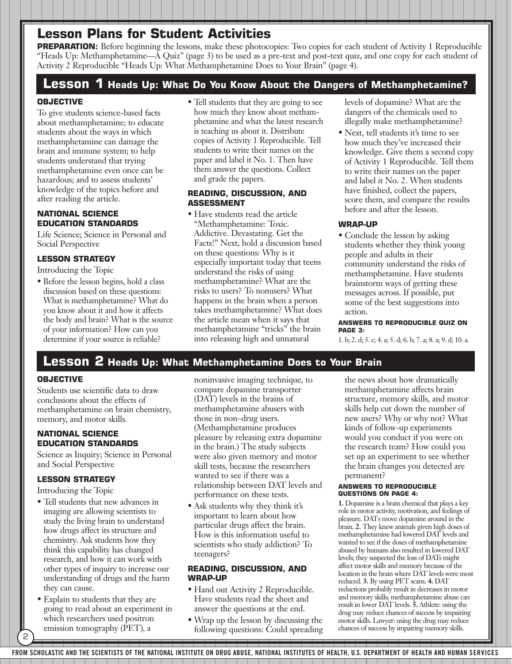**PREPARATION:** Before beginning the lessons, make these photocopies: Two copies for each student of Activity 1 Reproducible "Heads Up: Methamphetamine—A Quiz" (page 3) to be used as a pre-text and post-text quiz, and one copy for each student of Activity 2 Reproducible "Heads Up: What Methamphetamine Does to Your Brain" (page 4).

# **Lesson 1 Heads Up: What Do You Know About the Dangers of Methamphetamine?**

# **OBJECTIVE**

To give students science-based facts about methamphetamine; to educate students about the ways in which methamphetamine can damage the brain and immune system; to help students understand that trying methamphetamine even once can be hazardous; and to assess students' knowledge of the topics before and after reading the article.

# **NATIONAL SCIENCE EDUCATION STANDARDS**

Life Science; Science in Personal and Social Perspective

# **LESSON STRATEGY**

Introducing the Topic

• Before the lesson begins, hold a class discussion based on these questions: What is methamphetamine? What do you know about it and how it affects the body and brain? What is the source of your information? How can you determine if your source is reliable?

• Tell students that they are going to see how much they know about methamphetamine and what the latest research is teaching us about it. Distribute copies of Activity 1 Reproducible. Tell students to write their names on the paper and label it No. 1. Then have them answer the questions. Collect and grade the papers.

### **READING, DISCUSSION, AND ASSESSMENT**

• Have students read the article "Methamphetamine: Toxic. Addictive. Devastating. Get the Facts!" Next, hold a discussion based on these questions: Why is it especially important today that teens understand the risks of using methamphetamine? What are the risks to users? To nonusers? What happens in the brain when a person takes methamphetamine? What does the article mean when it says that methamphetamine "tricks" the brain into releasing high and unnatural

levels of dopamine? What are the dangers of the chemicals used to illegally make methamphetamine?

• Next, tell students it's time to see how much they've increased their knowledge. Give them a second copy of Activity 1 Reproducible. Tell them to write their names on the paper and label it No. 2. When students have finished, collect the papers, score them, and compare the results before and after the lesson.

# **WRAP-UP**

• Conclude the lesson by asking students whether they think young people and adults in their community understand the risks of methamphetamine. Have students brainstorm ways of getting these messages across. If possible, put some of the best suggestions into action.

**ANSWERS TO REPRODUCIBLE QUIZ ON PAGE 3:**

1. b; 2. d; 3. c; 4. a; 5. d; 6. b; 7. a; 8. a; 9. d; 10. a.

# **Lesson 2 Heads Up: What Methamphetamine Does to Your Brain**

# **OBJECTIVE**

Students use scientific data to draw conclusions about the effects of methamphetamine on brain chemistry, memory, and motor skills.

# **NATIONAL SCIENCE EDUCATION STANDARDS**

Science as Inquiry; Science in Personal and Social Perspective

# **LESSON STRATEGY**

Introducing the Topic

2

- Tell students that new advances in imaging are allowing scientists to study the living brain to understand how drugs affect its structure and chemistry. Ask students how they think this capability has changed research, and how it can work with other types of inquiry to increase our understanding of drugs and the harm they can cause.
- Explain to students that they are going to read about an experiment in which researchers used positron emission tomography (PET), a

noninvasive imaging technique, to compare dopamine transporter (DAT) levels in the brains of methamphetamine abusers with those in non–drug users. (Methamphetamine produces pleasure by releasing extra dopamine in the brain.) The study subjects were also given memory and motor skill tests, because the researchers wanted to see if there was a relationship between DAT levels and performance on these tests.

• Ask students why they think it's important to learn about how particular drugs affect the brain. How is this information useful to scientists who study addiction? To teenagers?

### **READING, DISCUSSION, AND WRAP-UP**

- Hand out Activity 2 Reproducible. Have students read the sheet and answer the questions at the end.
- Wrap up the lesson by discussing the following questions: Could spreading

the news about how dramatically methamphetamine affects brain structure, memory skills, and motor skills help cut down the number of new users? Why or why not? What kinds of follow-up experiments would you conduct if you were on the research team? How could you set up an experiment to see whether the brain changes you detected are permanent?

### **ANSWERS TO REPRODUCIBLE QUESTIONS ON PAGE 4:**

**1.** Dopamine is a brain chemical that plays a key role in motor activity, motivation, and feelings of pleasure. DATs move dopamine around in the brain. **2.** They knew animals given high doses of methamphetamine had lowered DAT levels and wanted to see if the doses of methamphetamine abused by humans also resulted in lowered DAT levels; they suspected the loss of DATs might affect motor skills and memory because of the location in the brain where DAT levels were most reduced. **3.** By using PET scans. **4.** DAT reductions probably result in decreases in motor and memory skills; methamphetamine abuse can result in lower DAT levels. **5.** Athlete: using the drug may reduce chances of success by impairing motor skills. Lawyer: using the drug may reduce chances of success by impairing memory skills.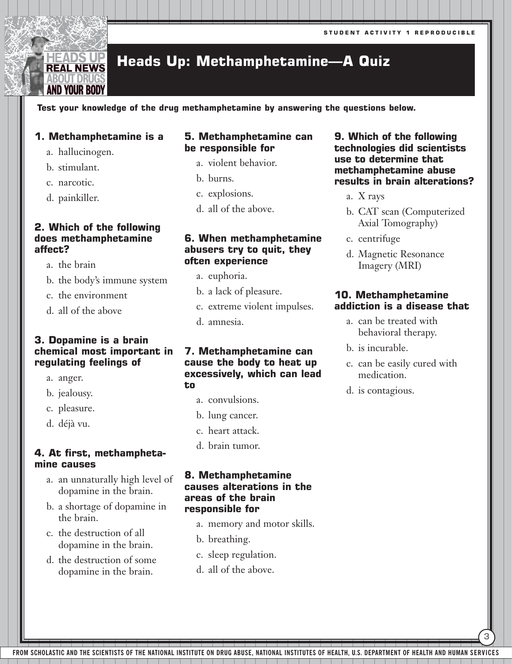# **Heads Up: Methamphetamine—A Quiz**

**Test your knowledge of the drug methamphetamine by answering the questions below.** 

# **1. Methamphetamine is a**

a. hallucinogen.

EADS UP **REAL NEWS** BOUT DRU( AND YOUR BODY

- b. stimulant.
- c. narcotic.
- d. painkiller.

# **2. Which of the following does methamphetamine affect?**

- a. the brain
- b. the body's immune system
- c. the environment
- d. all of the above

# **3. Dopamine is a brain chemical most important in regulating feelings of**

- a. anger.
- b. jealousy.
- c. pleasure.
- d. déjà vu.

# **4. At first, methamphetamine causes**

- a. an unnaturally high level of dopamine in the brain.
- b. a shortage of dopamine in the brain.
- c. the destruction of all dopamine in the brain.
- d. the destruction of some dopamine in the brain.

# **5. Methamphetamine can be responsible for**

- a. violent behavior.
- b. burns.
- c. explosions.
- d. all of the above.

# **6. When methamphetamine abusers try to quit, they often experience**

- a. euphoria.
- b. a lack of pleasure.
- c. extreme violent impulses.
- d. amnesia.

# **7. Methamphetamine can cause the body to heat up excessively, which can lead to**

- a. convulsions.
- b. lung cancer.
- c. heart attack.
- d. brain tumor.

# **8. Methamphetamine causes alterations in the areas of the brain responsible for**

- a. memory and motor skills.
- b. breathing.
- c. sleep regulation.
- d. all of the above.

# **9. Which of the following technologies did scientists use to determine that methamphetamine abuse results in brain alterations?**

- a. X rays
- b. CAT scan (Computerized Axial Tomography)
- c. centrifuge
- d. Magnetic Resonance Imagery (MRI)

# **10. Methamphetamine addiction is a disease that**

- a. can be treated with behavioral therapy.
- b. is incurable.
- c. can be easily cured with medication.

3

d. is contagious.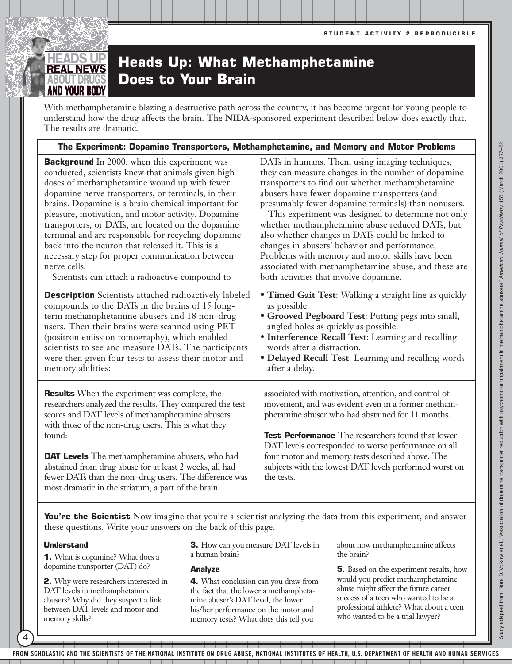### **Heads Up: What Methamphetamine REAL NEWS Does to Your Brain** BOUT DRUG AND YOUR BOD

With methamphetamine blazing a destructive path across the country, it has become urgent for young people to understand how the drug affects the brain. The NIDA-sponsored experiment described below does exactly that. The results are dramatic.

# **The Experiment: Dopamine Transporters, Methamphetamine, and Memory and Motor Problems**

**Background** In 2000, when this experiment was conducted, scientists knew that animals given high doses of methamphetamine wound up with fewer dopamine nerve transporters, or terminals, in their brains. Dopamine is a brain chemical important for pleasure, motivation, and motor activity. Dopamine transporters, or DATs, are located on the dopamine terminal and are responsible for recycling dopamine back into the neuron that released it. This is a necessary step for proper communication between nerve cells.

Scientists can attach a radioactive compound to

**Description** Scientists attached radioactively labeled compounds to the DATs in the brains of 15 longterm methamphetamine abusers and 18 non–drug users. Then their brains were scanned using PET (positron emission tomography), which enabled scientists to see and measure DATs. The participants were then given four tests to assess their motor and memory abilities:

**Results** When the experiment was complete, the researchers analyzed the results. They compared the test scores and DAT levels of methamphetamine abusers with those of the non-drug users. This is what they found:

**DAT Levels** The methamphetamine abusers, who had abstained from drug abuse for at least 2 weeks, all had fewer DATs than the non–drug users. The difference was most dramatic in the striatum, a part of the brain

DATs in humans. Then, using imaging techniques, they can measure changes in the number of dopamine transporters to find out whether methamphetamine abusers have fewer dopamine transporters (and presumably fewer dopamine terminals) than nonusers. This experiment was designed to determine not only

whether methamphetamine abuse reduced DATs, but also whether changes in DATs could be linked to changes in abusers' behavior and performance. Problems with memory and motor skills have been associated with methamphetamine abuse, and these are both activities that involve dopamine.

- **Timed Gait Test**: Walking a straight line as quickly as possible.
- **Grooved Pegboard Test**: Putting pegs into small, angled holes as quickly as possible.
- **Interference Recall Test**: Learning and recalling words after a distraction.
- **Delayed Recall Test**: Learning and recalling words after a delay.

associated with motivation, attention, and control of movement, and was evident even in a former methamphetamine abuser who had abstained for 11 months.

**Test Performance** The researchers found that lower DAT levels corresponded to worse performance on all four motor and memory tests described above. The subjects with the lowest DAT levels performed worst on the tests.

**You're the Scientist** Now imagine that you're a scientist analyzing the data from this experiment, and answer these questions. Write your answers on the back of this page.

# **Understand**

4

**1.** What is dopamine? What does a dopamine transporter (DAT) do?

**2.** Why were researchers interested in DAT levels in methamphetamine abusers? Why did they suspect a link between DAT levels and motor and memory skills?

**3.** How can you measure DAT levels in a human brain?

# **Analyze**

**4.** What conclusion can you draw from the fact that the lower a methamphetamine abuser's DAT level, the lower his/her performance on the motor and memory tests? What does this tell you

about how methamphetamine affects the brain?

**5.** Based on the experiment results, how would you predict methamphetamine abuse might affect the future career success of a teen who wanted to be a professional athlete? What about a teen who wanted to be a trial lawyer?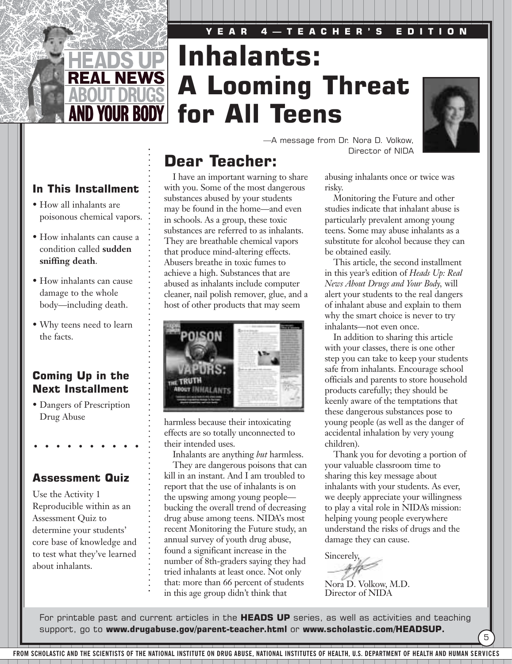# **YEAR 4—TEACHER'S EDITION**

# **Inhalants: A Looming Threat for All Teens**



# **In This Installment**

**REAL NEWS** 

**AND YOUR BODY |** 

- How all inhalants are poisonous chemical vapors.
- How inhalants can cause a condition called **sudden sniffing death**.
- How inhalants can cause damage to the whole body—including death.
- Why teens need to learn the facts.

# **Coming Up in the Next Installment**

• Dangers of Prescription Drug Abuse

# **Assessment Quiz**

Use the Activity 1 Reproducible within as an Assessment Quiz to determine your students' core base of knowledge and to test what they've learned about inhalants.

# **Dear Teacher:**

I have an important warning to share with you. Some of the most dangerous substances abused by your students may be found in the home—and even in schools. As a group, these toxic substances are referred to as inhalants. They are breathable chemical vapors that produce mind-altering effects. Abusers breathe in toxic fumes to achieve a high. Substances that are abused as inhalants include computer cleaner, nail polish remover, glue, and a host of other products that may seem



harmless because their intoxicating effects are so totally unconnected to their intended uses.

Inhalants are anything *but* harmless.

They are dangerous poisons that can kill in an instant. And I am troubled to report that the use of inhalants is on the upswing among young people bucking the overall trend of decreasing drug abuse among teens. NIDA's most recent Monitoring the Future study, an annual survey of youth drug abuse, found a significant increase in the number of 8th-graders saying they had tried inhalants at least once. Not only that: more than 66 percent of students in this age group didn't think that

—A message from Dr. Nora D. Volkow, Director of NIDA

> abusing inhalants once or twice was risky.

Monitoring the Future and other studies indicate that inhalant abuse is particularly prevalent among young teens. Some may abuse inhalants as a substitute for alcohol because they can be obtained easily.

This article, the second installment in this year's edition of *Heads Up: Real News About Drugs and Your Body,* will alert your students to the real dangers of inhalant abuse and explain to them why the smart choice is never to try inhalants—not even once.

In addition to sharing this article with your classes, there is one other step you can take to keep your students safe from inhalants. Encourage school officials and parents to store household products carefully; they should be keenly aware of the temptations that these dangerous substances pose to young people (as well as the danger of accidental inhalation by very young children).

Thank you for devoting a portion of your valuable classroom time to sharing this key message about inhalants with your students. As ever, we deeply appreciate your willingness to play a vital role in NIDA's mission: helping young people everywhere understand the risks of drugs and the damage they can cause.

5

Sincerely,

Nora D. Volkow, M.D. Director of NIDA

For printable past and current articles in the **HEADS UP** series, as well as activities and teaching support, go to **www.drugabuse.gov/parent-teacher.html** or **www.scholastic.com/HEADSUP.**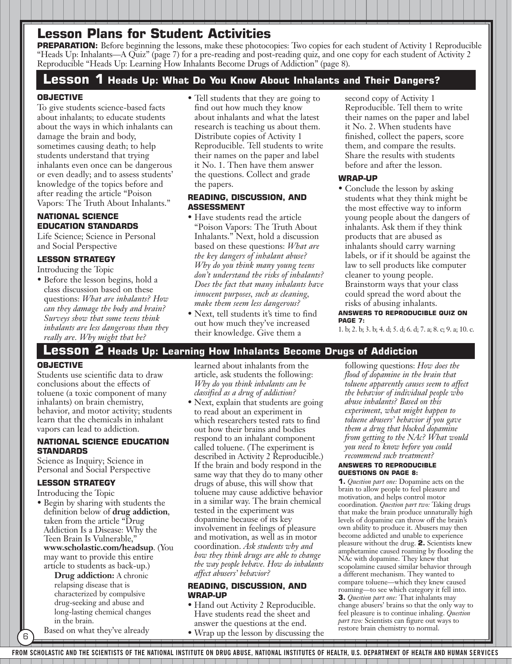**PREPARATION:** Before beginning the lessons, make these photocopies: Two copies for each student of Activity 1 Reproducible "Heads Up: Inhalants—A Quiz" (page 7) for a pre-reading and post-reading quiz, and one copy for each student of Activity 2 Reproducible "Heads Up: Learning How Inhalants Become Drugs of Addiction" (page 8).

# **Lesson 1 Heads Up: What Do You Know About Inhalants and Their Dangers?**

# **OBJECTIVE**

To give students science-based facts about inhalants; to educate students about the ways in which inhalants can damage the brain and body, sometimes causing death; to help students understand that trying inhalants even once can be dangerous or even deadly; and to assess students' knowledge of the topics before and after reading the article "Poison Vapors: The Truth About Inhalants."

# **NATIONAL SCIENCE EDUCATION STANDARDS**

Life Science; Science in Personal and Social Perspective

# **LESSON STRATEGY**

Introducing the Topic

• Before the lesson begins, hold a class discussion based on these questions: *What are inhalants? How can they damage the body and brain? Surveys show that some teens think inhalants are less dangerous than they really are. Why might that be?*

• Tell students that they are going to find out how much they know about inhalants and what the latest research is teaching us about them. Distribute copies of Activity 1 Reproducible. Tell students to write their names on the paper and label it No. 1. Then have them answer the questions. Collect and grade the papers.

### **READING, DISCUSSION, AND ASSESSMENT**

- Have students read the article "Poison Vapors: The Truth About Inhalants." Next, hold a discussion based on these questions: *What are the key dangers of inhalant abuse? Why do you think many young teens don't understand the risks of inhalants? Does the fact that many inhalants have innocent purposes, such as cleaning, make them seem less dangerous?*
- Next, tell students it's time to find out how much they've increased their knowledge. Give them a

second copy of Activity 1 Reproducible. Tell them to write their names on the paper and label it No. 2. When students have finished, collect the papers, score them, and compare the results. Share the results with students before and after the lesson.

## **WRAP-UP**

• Conclude the lesson by asking students what they think might be the most effective way to inform young people about the dangers of inhalants. Ask them if they think products that are abused as inhalants should carry warning labels, or if it should be against the law to sell products like computer cleaner to young people. Brainstorm ways that your class could spread the word about the risks of abusing inhalants.

**ANSWERS TO REPRODUCIBLE QUIZ ON PAGE 7:** 

1. b; 2. b; 3. b; 4. d; 5. d; 6. d; 7. a; 8. c; 9. a; 10. c.

# **Lesson 2 Heads Up: Learning How Inhalants Become Drugs of Addiction**

### **OBJECTIVE**

Students use scientific data to draw conclusions about the effects of toluene (a toxic component of many inhalants) on brain chemistry, behavior, and motor activity; students learn that the chemicals in inhalant vapors can lead to addiction.

### **NATIONAL SCIENCE EDUCATION STANDARDS**

Science as Inquiry; Science in Personal and Social Perspective

# **LESSON STRATEGY**

Introducing the Topic

• Begin by sharing with students the definition below of **drug addiction**, taken from the article "Drug Addiction Is a Disease: Why the Teen Brain Is Vulnerable," **www.scholastic.com/headsup**. (You may want to provide this entire article to students as back-up.)

> **Drug addiction:** A chronic relapsing disease that is characterized by compulsive drug-seeking and abuse and long-lasting chemical changes in the brain.

Based on what they've already

6

learned about inhalants from the article, ask students the following: *Why do you think inhalants can be classified as a drug of addiction?*

• Next, explain that students are going to read about an experiment in which researchers tested rats to find out how their brains and bodies respond to an inhalant component called toluene. (The experiment is described in Activity 2 Reproducible.) If the brain and body respond in the same way that they do to many other drugs of abuse, this will show that toluene may cause addictive behavior in a similar way. The brain chemical tested in the experiment was dopamine because of its key involvement in feelings of pleasure and motivation, as well as in motor coordination. *Ask students why and how they think drugs are able to change the way people behave. How do inhalants affect abusers' behavior?*

### **READING, DISCUSSION, AND WRAP-UP**

- Hand out Activity 2 Reproducible. Have students read the sheet and answer the questions at the end.
- Wrap up the lesson by discussing the

following questions: *How does the flood of dopamine in the brain that toluene apparently causes seem to affect the behavior of individual people who abuse inhalants? Based on this experiment, what might happen to toluene abusers' behavior if you gave them a drug that blocked dopamine from getting to the NAc? What would you need to know before you could recommend such treatment?*

### **ANSWERS TO REPRODUCIBLE QUESTIONS ON PAGE 8:**

**1.** *Question part one:* Dopamine acts on the brain to allow people to feel pleasure and motivation, and helps control motor coordination. *Question part two:* Taking drugs that make the brain produce unnaturally high levels of dopamine can throw off the brain's own ability to produce it. Abusers may then become addicted and unable to experience pleasure without the drug. **2.** Scientists knew amphetamine caused roaming by flooding the NAc with dopamine. They knew that scopolamine caused similar behavior through a different mechanism. They wanted to compare toluene—which they knew caused roaming—to see which category it fell into. **3.** *Question part one:* That inhalants may change abusers' brains so that the only way to feel pleasure is to continue inhaling. *Question part two:* Scientists can figure out ways to restore brain chemistry to normal.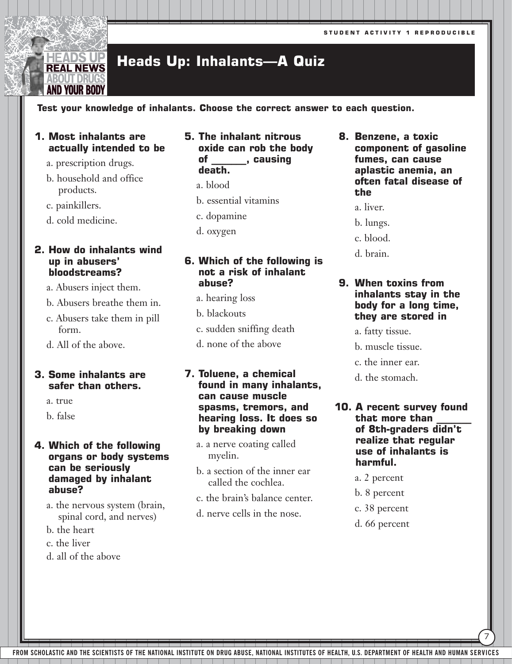### **Heads Up: Inhalants—A Quiz REAL NEWS**

**Test your knowledge of inhalants. Choose the correct answer to each question.**

# **1. Most inhalants are actually intended to be**

- a. prescription drugs.
- b. household and office products.
- c. painkillers.

**IEADS UP** 

BOUT DRU( AND YOUR BODY

d. cold medicine.

# **2. How do inhalants wind up in abusers' bloodstreams?**

- a. Abusers inject them.
- b. Abusers breathe them in.
- c. Abusers take them in pill form.
- d. All of the above.

# **3. Some inhalants are safer than others.**

- a. true
- b. false

# **4. Which of the following organs or body systems can be seriously damaged by inhalant abuse?**

- a. the nervous system (brain, spinal cord, and nerves)
- b. the heart
- c. the liver
- d. all of the above
- **5. The inhalant nitrous oxide can rob the body of \_\_\_\_\_\_\_, causing death.**
	- a. blood
	- b. essential vitamins
	- c. dopamine
	- d. oxygen

# **6. Which of the following is not a risk of inhalant abuse?**

- a. hearing loss
- b. blackouts
- c. sudden sniffing death
- d. none of the above

# **7. Toluene, a chemical found in many inhalants, can cause muscle spasms, tremors, and hearing loss. It does so by breaking down**

- a. a nerve coating called myelin.
- b. a section of the inner ear called the cochlea.
- c. the brain's balance center.
- d. nerve cells in the nose.
- **8. Benzene, a toxic component of gasoline fumes, can cause aplastic anemia, an often fatal disease of the** 
	- a. liver.
	- b. lungs.
	- c. blood.
	- d. brain.

# **9. When toxins from inhalants stay in the body for a long time, they are stored in**

- a. fatty tissue.
- b. muscle tissue.
- c. the inner ear.
- d. the stomach.
- **10. A recent survey found that more than \_\_\_\_\_\_\_ of 8th-graders didn't realize that regular use of inhalants is harmful.**

7

- a. 2 percent
- b. 8 percent
- c. 38 percent
- d. 66 percent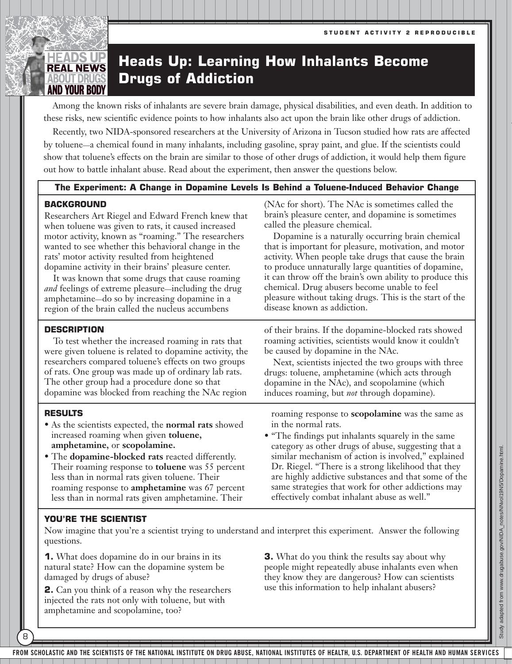# HEADS UP **REAL NEWS ABOUT DRUG** AND YOUR BODY

# **Heads Up: Learning How Inhalants Become Drugs of Addiction**

Among the known risks of inhalants are severe brain damage, physical disabilities, and even death. In addition to these risks, new scientific evidence points to how inhalants also act upon the brain like other drugs of addiction.

Recently, two NIDA-sponsored researchers at the University of Arizona in Tucson studied how rats are affected by toluene—a chemical found in many inhalants, including gasoline, spray paint, and glue. If the scientists could show that toluene's effects on the brain are similar to those of other drugs of addiction, it would help them figure out how to battle inhalant abuse. Read about the experiment, then answer the questions below.

# **The Experiment: A Change in Dopamine Levels Is Behind a Toluene-Induced Behavior Change**

# **BACKGROUND**

Researchers Art Riegel and Edward French knew that when toluene was given to rats, it caused increased motor activity, known as "roaming." The researchers wanted to see whether this behavioral change in the rats' motor activity resulted from heightened dopamine activity in their brains' pleasure center.

It was known that some drugs that cause roaming *and* feelings of extreme pleasure—including the drug amphetamine—do so by increasing dopamine in a region of the brain called the nucleus accumbens

# **DESCRIPTION**

To test whether the increased roaming in rats that were given toluene is related to dopamine activity, the researchers compared toluene's effects on two groups of rats. One group was made up of ordinary lab rats. The other group had a procedure done so that dopamine was blocked from reaching the NAc region

# **RESULTS**

8

- As the scientists expected, the **normal rats** showed increased roaming when given **toluene, amphetamine,** or **scopolamine.**
- The **dopamine-blocked rats** reacted differently. Their roaming response to **toluene** was 55 percent less than in normal rats given toluene. Their roaming response to **amphetamine** was 67 percent less than in normal rats given amphetamine. Their

(NAc for short). The NAc is sometimes called the brain's pleasure center, and dopamine is sometimes called the pleasure chemical.

Dopamine is a naturally occurring brain chemical that is important for pleasure, motivation, and motor activity. When people take drugs that cause the brain to produce unnaturally large quantities of dopamine, it can throw off the brain's own ability to produce this chemical. Drug abusers become unable to feel pleasure without taking drugs. This is the start of the disease known as addiction.

of their brains. If the dopamine-blocked rats showed roaming activities, scientists would know it couldn't be caused by dopamine in the NAc.

Next, scientists injected the two groups with three drugs: toluene, amphetamine (which acts through dopamine in the NAc), and scopolamine (which induces roaming, but *not* through dopamine).

roaming response to **scopolamine** was the same as in the normal rats.

• "The findings put inhalants squarely in the same category as other drugs of abuse, suggesting that a similar mechanism of action is involved," explained Dr. Riegel. "There is a strong likelihood that they are highly addictive substances and that some of the same strategies that work for other addictions may effectively combat inhalant abuse as well."

# **YOU'RE THE SCIENTIST**

Now imagine that you're a scientist trying to understand and interpret this experiment. Answer the following questions.

**1.** What does dopamine do in our brains in its natural state? How can the dopamine system be damaged by drugs of abuse?

**2.** Can you think of a reason why the researchers injected the rats not only with toluene, but with amphetamine and scopolamine, too?

**3.** What do you think the results say about why people might repeatedly abuse inhalants even when they know they are dangerous? How can scientists use this information to help inhalant abusers?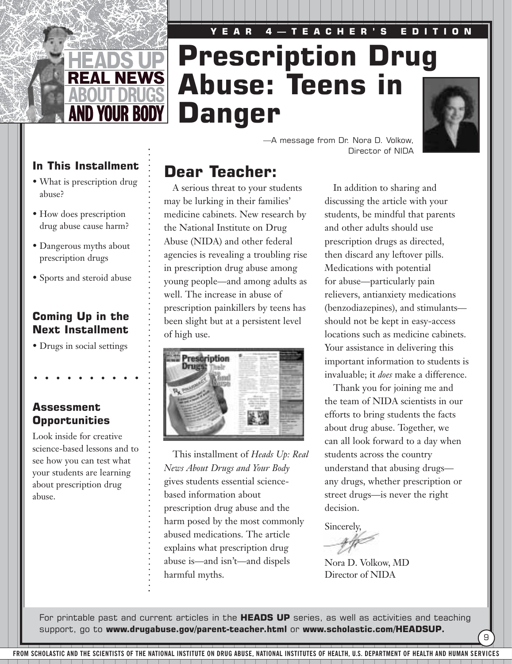# **YEAR 4—TEACHER'S EDITION Prescription Drug Abuse: Teens in Danger**



—A message from Dr. Nora D. Volkow, Director of NIDA

# In This Installment **Dear Teacher:**

**REAL NEWS** 

**AND YOUR BODY!** 

- What is prescription drug abuse?
- How does prescription drug abuse cause harm?
- Dangerous myths about prescription drugs
- Sports and steroid abuse

# **Coming Up in the Next Installment**

• Drugs in social settings

# **Assessment Opportunities**

Look inside for creative science-based lessons and to see how you can test what your students are learning about prescription drug abuse.

A serious threat to your students may be lurking in their families' medicine cabinets. New research by the National Institute on Drug Abuse (NIDA) and other federal agencies is revealing a troubling rise in prescription drug abuse among young people—and among adults as well. The increase in abuse of prescription painkillers by teens has been slight but at a persistent level of high use.



This installment of *Heads Up: Real News About Drugs and Your Body* gives students essential sciencebased information about prescription drug abuse and the harm posed by the most commonly abused medications. The article explains what prescription drug abuse is—and isn't—and dispels harmful myths.

In addition to sharing and discussing the article with your students, be mindful that parents and other adults should use prescription drugs as directed, then discard any leftover pills. Medications with potential for abuse—particularly pain relievers, antianxiety medications (benzodiazepines), and stimulants should not be kept in easy-access locations such as medicine cabinets. Your assistance in delivering this important information to students is invaluable; it *does* make a difference.

Thank you for joining me and the team of NIDA scientists in our efforts to bring students the facts about drug abuse. Together, we can all look forward to a day when students across the country understand that abusing drugs any drugs, whether prescription or street drugs—is never the right decision.

9

Sincerely,

Nora D. Volkow, MD Director of NIDA

For printable past and current articles in the **HEADS UP** series, as well as activities and teaching support, go to **www.drugabuse.gov/parent-teacher.html** or **www.scholastic.com/HEADSUP.**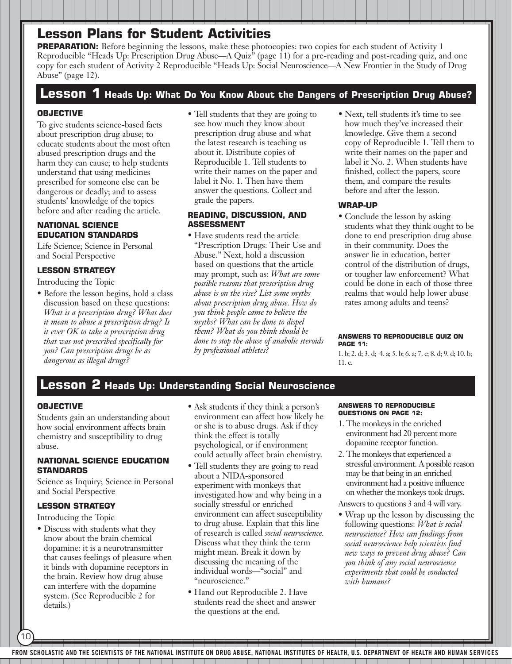**PREPARATION:** Before beginning the lessons, make these photocopies: two copies for each student of Activity 1 Reproducible "Heads Up: Prescription Drug Abuse—A Quiz" (page 11) for a pre-reading and post-reading quiz, and one copy for each student of Activity 2 Reproducible "Heads Up: Social Neuroscience—A New Frontier in the Study of Drug Abuse" (page 12).

# **Lesson 1 Heads Up: What Do You Know About the Dangers of Prescription Drug Abuse?**

# **OBJECTIVE**

To give students science-based facts about prescription drug abuse; to educate students about the most often abused prescription drugs and the harm they can cause; to help students understand that using medicines prescribed for someone else can be dangerous or deadly; and to assess students' knowledge of the topics before and after reading the article.

### **NATIONAL SCIENCE EDUCATION STANDARDS**

Life Science; Science in Personal and Social Perspective

# **LESSON STRATEGY**

Introducing the Topic

• Before the lesson begins, hold a class discussion based on these questions: *What is a prescription drug? What does it mean to abuse a prescription drug? Is it ever OK to take a prescription drug that was not prescribed specifically for you? Can prescription drugs be as dangerous as illegal drugs?*

• Tell students that they are going to see how much they know about prescription drug abuse and what the latest research is teaching us about it. Distribute copies of Reproducible 1. Tell students to write their names on the paper and label it No. 1. Then have them answer the questions. Collect and grade the papers.

# **READING, DISCUSSION, AND ASSESSMENT**

- Have students read the article "Prescription Drugs: Their Use and Abuse." Next, hold a discussion based on questions that the article may prompt, such as: *What are some possible reasons that prescription drug abuse is on the rise? List some myths about prescription drug abuse. How do you think people came to believe the myths? What can be done to dispel them? What do you think should be done to stop the abuse of anabolic steroids by professional athletes?*
- Next, tell students it's time to see how much they've increased their knowledge. Give them a second copy of Reproducible 1. Tell them to write their names on the paper and label it No. 2. When students have finished, collect the papers, score them, and compare the results before and after the lesson.

# **WRAP-UP**

• Conclude the lesson by asking students what they think ought to be done to end prescription drug abuse in their community. Does the answer lie in education, better control of the distribution of drugs, or tougher law enforcement? What could be done in each of those three realms that would help lower abuse rates among adults and teens?

### **ANSWERS TO REPRODUCIBLE QUIZ ON PAGE 11:**

1. b; 2. d; 3. d; 4. a; 5. b; 6. a; 7. c; 8. d; 9. d; 10. b; 11. c.

# **Lesson 2 Heads Up: Understanding Social Neuroscience**

# **OBJECTIVE**

Students gain an understanding about how social environment affects brain chemistry and susceptibility to drug abuse.

# **NATIONAL SCIENCE EDUCATION STANDARDS**

Science as Inquiry; Science in Personal and Social Perspective

# **LESSON STRATEGY**

Introducing the Topic

10

- Discuss with students what they know about the brain chemical dopamine: it is a neurotransmitter that causes feelings of pleasure when it binds with dopamine receptors in the brain. Review how drug abuse can interfere with the dopamine system. (See Reproducible 2 for details.)
- Ask students if they think a person's environment can affect how likely he or she is to abuse drugs. Ask if they think the effect is totally psychological, or if environment could actually affect brain chemistry.
- Tell students they are going to read about a NIDA-sponsored experiment with monkeys that investigated how and why being in a socially stressful or enriched environment can affect susceptibility to drug abuse. Explain that this line of research is called *social neuroscience.* Discuss what they think the term might mean. Break it down by discussing the meaning of the individual words—"social" and "neuroscience."
- Hand out Reproducible 2. Have students read the sheet and answer the questions at the end.

### **ANSWERS TO REPRODUCIBLE QUESTIONS ON PAGE 12:**

- 1. The monkeys in the enriched environment had 20 percent more dopamine receptor function.
- 2. The monkeys that experienced a stressful environment. A possible reason may be that being in an enriched environment had a positive influence on whether the monkeys took drugs.
- Answers to questions 3 and 4 will vary.
- Wrap up the lesson by discussing the following questions: *What is social neuroscience? How can findings from social neuroscience help scientists find new ways to prevent drug abuse? Can you think of any social neuroscience experiments that could be conducted with humans?*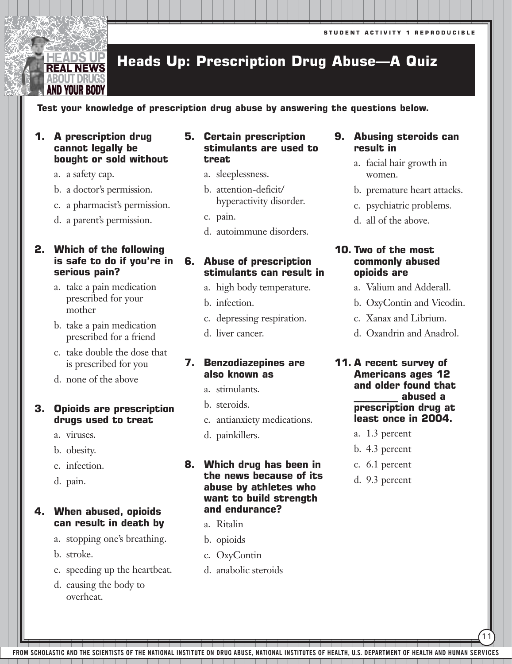# **Heads Up: Prescription Drug Abuse—A Quiz**

# **Test your knowledge of prescription drug abuse by answering the questions below.**

# **1. A prescription drug cannot legally be bought or sold without**

a. a safety cap.

EADS UP **REAL NEWS** BOUT DRU( AND YOUR BOD'

- b. a doctor's permission.
- c. a pharmacist's permission.
- d. a parent's permission.

# **2. Which of the following is safe to do if you're in serious pain?**

- a. take a pain medication prescribed for your mother
- b. take a pain medication prescribed for a friend
- c. take double the dose that is prescribed for you
- d. none of the above

# **3. Opioids are prescription drugs used to treat**

- a. viruses.
- b. obesity.
- c. infection.
- d. pain.

# **4. When abused, opioids can result in death by**

- a. stopping one's breathing.
- b. stroke.
- c. speeding up the heartbeat.
- d. causing the body to overheat.

# **5. Certain prescription stimulants are used to treat**

- a. sleeplessness.
- b. attention-deficit/ hyperactivity disorder.
- c. pain.
- d. autoimmune disorders.

# **6. Abuse of prescription stimulants can result in**

- a. high body temperature.
- b. infection.
- c. depressing respiration.
- d. liver cancer.

# **7. Benzodiazepines are also known as**

- a. stimulants.
- b. steroids.
- c. antianxiety medications.
- d. painkillers.

# **8. Which drug has been in the news because of its abuse by athletes who want to build strength and endurance?**

- a. Ritalin
- b. opioids
- c. OxyContin
- d. anabolic steroids

# **9. Abusing steroids can result in**

- a. facial hair growth in women.
- b. premature heart attacks.
- c. psychiatric problems.
- d. all of the above.

# **10. Two of the most commonly abused opioids are**

- a. Valium and Adderall.
- b. OxyContin and Vicodin.
- c. Xanax and Librium.
- d. Oxandrin and Anadrol.
- **11. A recent survey of Americans ages 12 and older found that \_\_\_\_\_\_\_\_\_ abused a prescription drug at least once in 2004.**
	- a. 1.3 percent
	- b. 4.3 percent
	- c. 6.1 percent
	- d. 9.3 percent

11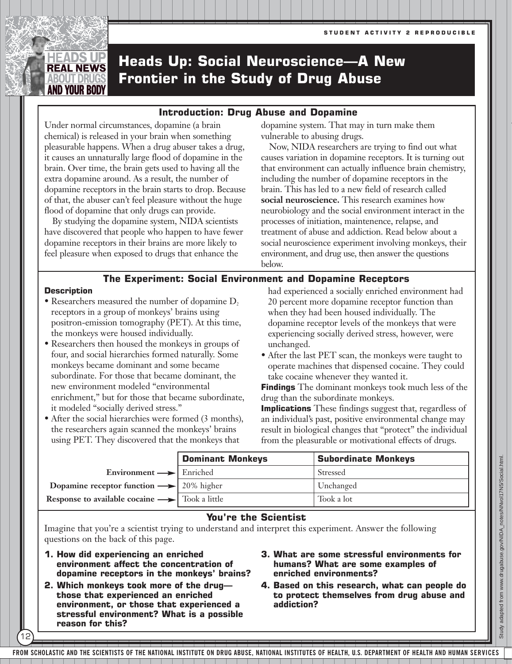# **Heads Up: Social Neuroscience—A New Frontier in the Study of Drug Abuse**

# **Introduction: Drug Abuse and Dopamine**

Under normal circumstances, dopamine (a brain chemical) is released in your brain when something pleasurable happens. When a drug abuser takes a drug, it causes an unnaturally large flood of dopamine in the brain. Over time, the brain gets used to having all the extra dopamine around. As a result, the number of dopamine receptors in the brain starts to drop. Because of that, the abuser can't feel pleasure without the huge flood of dopamine that only drugs can provide.

By studying the dopamine system, NIDA scientists have discovered that people who happen to have fewer dopamine receptors in their brains are more likely to feel pleasure when exposed to drugs that enhance the

dopamine system. That may in turn make them vulnerable to abusing drugs.

Now, NIDA researchers are trying to find out what causes variation in dopamine receptors. It is turning out that environment can actually influence brain chemistry, including the number of dopamine receptors in the brain. This has led to a new field of research called **social neuroscience.** This research examines how neurobiology and the social environment interact in the processes of initiation, maintenence, relapse, and treatment of abuse and addiction. Read below about a social neuroscience experiment involving monkeys, their environment, and drug use, then answer the questions below.

# **The Experiment: Social Environment and Dopamine Receptors**

### **Description**

EADS UP **REAL NEWS** 

12

- Researchers measured the number of dopamine  $D<sub>2</sub>$ receptors in a group of monkeys' brains using positron-emission tomography (PET). At this time, the monkeys were housed individually.
- Researchers then housed the monkeys in groups of four, and social hierarchies formed naturally. Some monkeys became dominant and some became subordinate. For those that became dominant, the new environment modeled "environmental enrichment," but for those that became subordinate, it modeled "socially derived stress."
- After the social hierarchies were formed (3 months), the researchers again scanned the monkeys' brains using PET. They discovered that the monkeys that

had experienced a socially enriched environment had 20 percent more dopamine receptor function than when they had been housed individually. The dopamine receptor levels of the monkeys that were experiencing socially derived stress, however, were unchanged.

• After the last PET scan, the monkeys were taught to operate machines that dispensed cocaine. They could take cocaine whenever they wanted it.

**Findings** The dominant monkeys took much less of the drug than the subordinate monkeys.

**Implications** These findings suggest that, regardless of an individual's past, positive environmental change may result in biological changes that "protect" the individual from the pleasurable or motivational effects of drugs.

|                                                                             | <b>Dominant Monkeys</b> | <b>Subordinate Monkeys</b> |
|-----------------------------------------------------------------------------|-------------------------|----------------------------|
| Environment $\longrightarrow$ Enriched                                      |                         | Stressed                   |
| Dopamine receptor function $\rightarrow$ 20% higher                         |                         | Unchanged                  |
| <b>Response to available cocaine <math>\rightarrow</math></b> Took a little |                         | Took a lot                 |

# **You're the Scientist**

Imagine that you're a scientist trying to understand and interpret this experiment. Answer the following questions on the back of this page.

- **1. How did experiencing an enriched environment affect the concentration of dopamine receptors in the monkeys' brains?**
- **2. Which monkeys took more of the drug those that experienced an enriched environment, or those that experienced a stressful environment? What is a possible reason for this?**
- **3. What are some stressful environments for humans? What are some examples of enriched environments?**
- **4. Based on this research, what can people do to protect themselves from drug abuse and addiction?**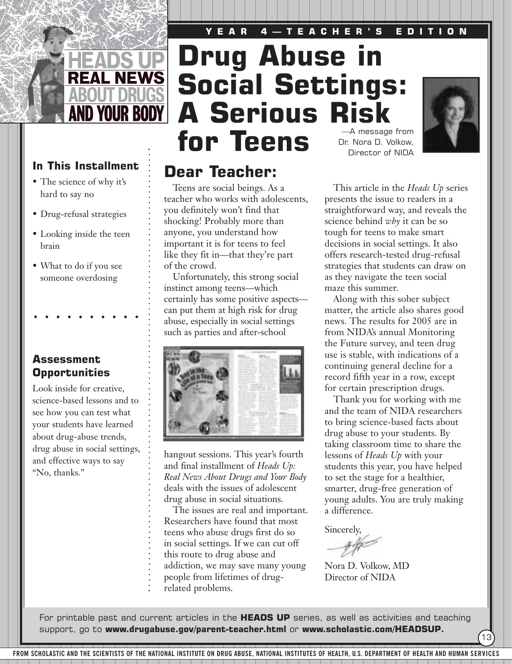# **YEAR 4—TEACHER'S EDITION**



# In This Installment **Dear Teacher:**

- The science of why it's hard to say no
- Drug-refusal strategies
- Looking inside the teen brain
- What to do if you see someone overdosing

**Assessment Opportunities**

Look inside for creative, science-based lessons and to see how you can test what your students have learned about drug-abuse trends, drug abuse in social settings, and effective ways to say "No, thanks."

# **Drug Abuse in Social Settings: A Serious Risk** for Teens Dr. Nora D. Volkow,

Teens are social beings. As a teacher who works with adolescents,

Unfortunately, this strong social

certainly has some positive aspects can put them at high risk for drug abuse, especially in social settings such as parties and after-school

hangout sessions. This year's fourth and final installment of *Heads Up: Real News About Drugs and Your Body* deals with the issues of adolescent drug abuse in social situations.

The issues are real and important. Researchers have found that most teens who abuse drugs first do so in social settings. If we can cut off this route to drug abuse and

addiction, we may save many young

you definitely won't find that shocking! Probably more than anyone, you understand how important it is for teens to feel like they fit in—that they're part

instinct among teens—which

of the crowd.

# Director of NIDA



This article in the *Heads Up* series presents the issue to readers in a straightforward way, and reveals the science behind *why* it can be so tough for teens to make smart decisions in social settings. It also offers research-tested drug-refusal strategies that students can draw on as they navigate the teen social maze this summer.

Along with this sober subject matter, the article also shares good news. The results for 2005 are in from NIDA's annual Monitoring the Future survey, and teen drug use is stable, with indications of a continuing general decline for a record fifth year in a row, except for certain prescription drugs.

Thank you for working with me and the team of NIDA researchers to bring science-based facts about drug abuse to your students. By taking classroom time to share the lessons of *Heads Up* with your students this year, you have helped to set the stage for a healthier, smarter, drug-free generation of young adults. You are truly making a difference.

13

Sincerely,

Nora D. Volkow, MD Director of NIDA

people from lifetimes of drugrelated problems.

For printable past and current articles in the **HEADS UP** series, as well as activities and teaching support, go to **www.drugabuse.gov/parent-teacher.html** or **www.scholastic.com/HEADSUP.**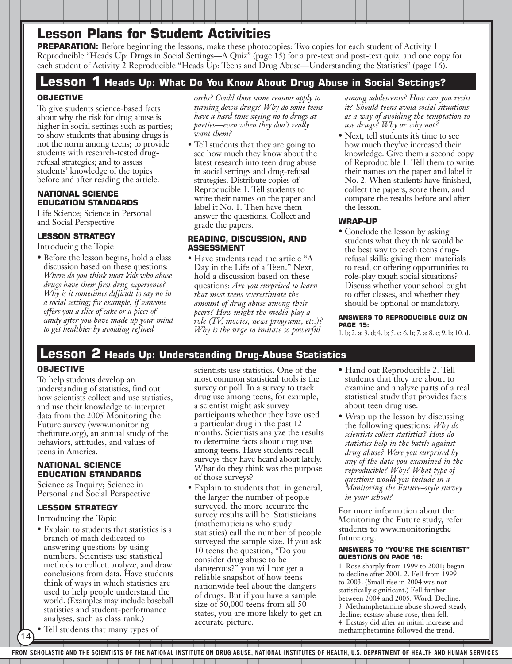**PREPARATION:** Before beginning the lessons, make these photocopies: Two copies for each student of Activity 1 Reproducible "Heads Up: Drugs in Social Settings—A Quiz" (page 15) for a pre-text and post-text quiz, and one copy for each student of Activity 2 Reproducible "Heads Up: Teens and Drug Abuse—Understanding the Statistics" (page 16).

# **Lesson 1 Heads Up: What Do You Know About Drug Abuse in Social Settings?**

# **OBJECTIVE**

To give students science-based facts about why the risk for drug abuse is higher in social settings such as parties; to show students that abusing drugs is not the norm among teens; to provide students with research-tested drugrefusal strategies; and to assess students' knowledge of the topics before and after reading the article.

## **NATIONAL SCIENCE EDUCATION STANDARDS**

Life Science; Science in Personal and Social Perspective

# **LESSON STRATEGY**

Introducing the Topic

• Before the lesson begins, hold a class discussion based on these questions: *Where do you think most kids who abuse drugs have their first drug experience? Why is it sometimes difficult to say no in a social setting; for example, if someone offers you a slice of cake or a piece of candy after you have made up your mind to get healthier by avoiding refined*

*carbs? Could those same reasons apply to turning down drugs? Why do some teens have a hard time saying no to drugs at parties—even when they don't really want them?*

• Tell students that they are going to see how much they know about the latest research into teen drug abuse in social settings and drug-refusal strategies. Distribute copies of Reproducible 1. Tell students to write their names on the paper and label it No. 1. Then have them answer the questions. Collect and grade the papers.

### **READING, DISCUSSION, AND ASSESSMENT**

• Have students read the article "A Day in the Life of a Teen." Next, hold a discussion based on these questions: *Are you surprised to learn that most teens overestimate the amount of drug abuse among their peers? How might the media play a role (TV, movies, news programs, etc.)? Why is the urge to imitate so powerful*

*among adolescents? How can you resist it? Should teens avoid social situations as a way of avoiding the temptation to use drugs? Why or why not?*

• Next, tell students it's time to see how much they've increased their knowledge. Give them a second copy of Reproducible 1. Tell them to write their names on the paper and label it No. 2. When students have finished, collect the papers, score them, and compare the results before and after the lesson.

# **WRAP-UP**

• Conclude the lesson by asking students what they think would be the best way to teach teens drugrefusal skills: giving them materials to read, or offering opportunities to role-play tough social situations? Discuss whether your school ought to offer classes, and whether they should be optional or mandatory.

### **ANSWERS TO REPRODUCIBLE QUIZ ON PAGE 15:**

1. b; 2. a; 3. d; 4. b; 5. c; 6. b; 7. a; 8. c; 9. b; 10. d.

# **Lesson 2 Heads Up: Understanding Drug-Abuse Statistics**

# **OBJECTIVE**

To help students develop an understanding of statistics, find out how scientists collect and use statistics, and use their knowledge to interpret data from the 2005 Monitoring the Future survey (www.monitoring thefuture.org), an annual study of the behaviors, attitudes, and values of teens in America.

## **NATIONAL SCIENCE EDUCATION STANDARDS**

Science as Inquiry; Science in Personal and Social Perspective

# **LESSON STRATEGY**

Introducing the Topic

- Explain to students that statistics is a branch of math dedicated to answering questions by using numbers. Scientists use statistical methods to collect, analyze, and draw conclusions from data. Have students think of ways in which statistics are used to help people understand the world. (Examples may include baseball statistics and student-performance analyses, such as class rank.)
- Tell students that many types of

14

scientists use statistics. One of the most common statistical tools is the survey or poll. In a survey to track drug use among teens, for example, a scientist might ask survey participants whether they have used a particular drug in the past 12 months. Scientists analyze the results to determine facts about drug use among teens. Have students recall surveys they have heard about lately. What do they think was the purpose of those surveys?

• Explain to students that, in general, the larger the number of people surveyed, the more accurate the survey results will be. Statisticians (mathematicians who study statistics) call the number of people surveyed the sample size. If you ask 10 teens the question, "Do you consider drug abuse to be dangerous?" you will not get a reliable snapshot of how teens nationwide feel about the dangers of drugs. But if you have a sample size of 50,000 teens from all 50 states, you are more likely to get an accurate picture.

- Hand out Reproducible 2. Tell students that they are about to examine and analyze parts of a real statistical study that provides facts about teen drug use.
- Wrap up the lesson by discussing the following questions: *Why do scientists collect statistics? How do statistics help in the battle against drug abuse? Were you surprised by any of the data you examined in the reproducible? Why? What type of questions would you include in a Monitoring the Future–style survey in your school?*

For more information about the Monitoring the Future study, refer students to www.monitoringthe future.org.

### **ANSWERS TO "YOU'RE THE SCIENTIST" QUESTIONS ON PAGE 16:**

1. Rose sharply from 1999 to 2001; began to decline after 2001. 2. Fell from 1999 to 2003. (Small rise in 2004 was not statistically significant.) Fell further between 2004 and 2005. Word: Decline. 3. Methamphetamine abuse showed steady decline; ecstasy abuse rose, then fell. 4. Ecstasy did after an initial increase and methamphetamine followed the trend.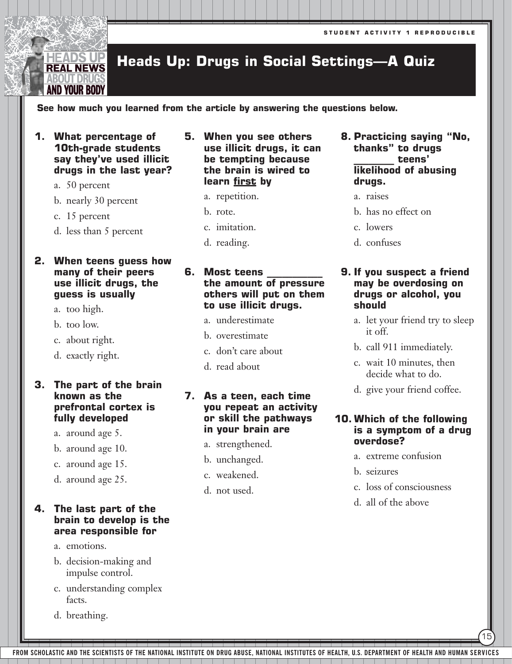### **Heads Up: Drugs in Social Settings—A Quiz REAL NEWS**

# **See how much you learned from the article by answering the questions below.**

**1. What percentage of 10th-grade students say they've used illicit drugs in the last year?** 

a. 50 percent

EADS UP

BOUT DRUG AND YOUR BODY

b. nearly 30 percent

c. 15 percent

d. less than 5 percent

# **2. When teens guess how many of their peers use illicit drugs, the guess is usually**

- a. too high.
- b. too low.
- c. about right.
- d. exactly right.

# **3. The part of the brain known as the prefrontal cortex is fully developed**

- a. around age 5.
- b. around age 10.
- c. around age 15.
- d. around age 25.

# **4. The last part of the brain to develop is the area responsible for**

- a. emotions.
- b. decision-making and impulse control.
- c. understanding complex facts.
- d. breathing.
- **5. When you see others use illicit drugs, it can be tempting because the brain is wired to learn first by**
	- a. repetition.
	- b. rote.
	- c. imitation.
	- d. reading.

# **6.** Most teens **the amount of pressure others will put on them to use illicit drugs.**

- a. underestimate
- b. overestimate
- c. don't care about
- d. read about

# **7. As a teen, each time you repeat an activity or skill the pathways in your brain are**

- a. strengthened.
- b. unchanged.
- c. weakened.
- d. not used.
- **8. Practicing saying "No, thanks" to drugs \_\_\_\_\_\_\_\_ teens' likelihood of abusing drugs.**
	- a. raises
	- b. has no effect on
	- c. lowers
	- d. confuses

# **9. If you suspect a friend may be overdosing on drugs or alcohol, you should**

- a. let your friend try to sleep it off.
- b. call 911 immediately.
- c. wait 10 minutes, then decide what to do.
- d. give your friend coffee.

# **10. Which of the following is a symptom of a drug overdose?**

- a. extreme confusion
- b. seizures
- c. loss of consciousness

15

d. all of the above